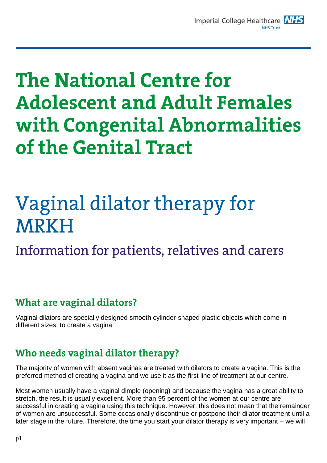# **The National Centre for Adolescent and Adult Females** with Congenital Abnormalities of the Genital Tract

# Vaginal dilator therapy for **MRKH**

Information for patients, relatives and carers

# **What are vaginal dilators?**

Vaginal dilators are specially designed smooth cylinder-shaped plastic objects which come in different sizes, to create a vagina.

# Who needs vaginal dilator therapy?

The majority of women with absent vaginas are treated with dilators to create a vagina. This is the preferred method of creating a vagina and we use it as the first line of treatment at our centre.

Most women usually have a vaginal dimple (opening) and because the vagina has a great ability to stretch, the result is usually excellent. More than 95 percent of the women at our centre are successful in creating a vagina using this technique. However, this does not mean that the remainder of women are unsuccessful. Some occasionally discontinue or postpone their dilator treatment until a later stage in the future. Therefore, the time you start your dilator therapy is very important – we will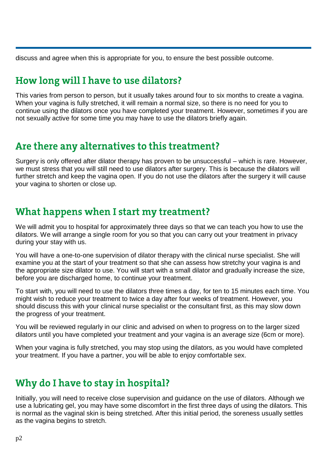discuss and agree when this is appropriate for you, to ensure the best possible outcome.

# How long will I have to use dilators?

This varies from person to person, but it usually takes around four to six months to create a vagina. When your vagina is fully stretched, it will remain a normal size, so there is no need for you to continue using the dilators once you have completed your treatment. However, sometimes if you are not sexually active for some time you may have to use the dilators briefly again.

### Are there any alternatives to this treatment?

Surgery is only offered after dilator therapy has proven to be unsuccessful – which is rare. However, we must stress that you will still need to use dilators after surgery. This is because the dilators will further stretch and keep the vagina open. If you do not use the dilators after the surgery it will cause your vagina to shorten or close up.

# What happens when I start my treatment?

We will admit you to hospital for approximately three days so that we can teach you how to use the dilators. We will arrange a single room for you so that you can carry out your treatment in privacy during your stay with us.

You will have a one-to-one supervision of dilator therapy with the clinical nurse specialist. She will examine you at the start of your treatment so that she can assess how stretchy your vagina is and the appropriate size dilator to use. You will start with a small dilator and gradually increase the size, before you are discharged home, to continue your treatment.

To start with, you will need to use the dilators three times a day, for ten to 15 minutes each time. You might wish to reduce your treatment to twice a day after four weeks of treatment. However, you should discuss this with your clinical nurse specialist or the consultant first, as this may slow down the progress of your treatment.

You will be reviewed regularly in our clinic and advised on when to progress on to the larger sized dilators until you have completed your treatment and your vagina is an average size (6cm or more).

When your vagina is fully stretched, you may stop using the dilators, as you would have completed your treatment. If you have a partner, you will be able to enjoy comfortable sex.

# Why do I have to stay in hospital?

Initially, you will need to receive close supervision and guidance on the use of dilators. Although we use a lubricating gel, you may have some discomfort in the first three days of using the dilators. This is normal as the vaginal skin is being stretched. After this initial period, the soreness usually settles as the vagina begins to stretch.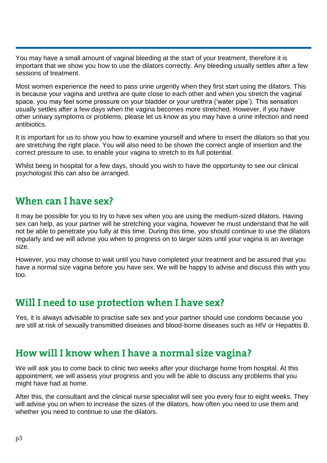You may have a small amount of vaginal bleeding at the start of your treatment, therefore it is important that we show you how to use the dilators correctly. Any bleeding usually settles after a few sessions of treatment.

Most women experience the need to pass urine urgently when they first start using the dilators. This is because your vagina and urethra are quite close to each other and when you stretch the vaginal space, you may feel some pressure on your bladder or your urethra ('water pipe'). This sensation usually settles after a few days when the vagina becomes more stretched. However, if you have other urinary symptoms or problems, please let us know as you may have a urine infection and need antibiotics.

It is important for us to show you how to examine yourself and where to insert the dilators so that you are stretching the right place. You will also need to be shown the correct angle of insertion and the correct pressure to use, to enable your vagina to stretch to its full potential.

Whilst being in hospital for a few days, should you wish to have the opportunity to see our clinical psychologist this can also be arranged.

#### When can I have sex?

It may be possible for you to try to have sex when you are using the medium-sized dilators. Having sex can help, as your partner will be stretching your vagina, however he must understand that he will not be able to penetrate you fully at this time. During this time, you should continue to use the dilators regularly and we will advise you when to progress on to larger sizes until your vagina is an average size.

However, you may choose to wait until you have completed your treatment and be assured that you have a normal size vagina before you have sex. We will be happy to advise and discuss this with you too.

## Will I need to use protection when I have sex?

Yes, it is always advisable to practise safe sex and your partner should use condoms because you are still at risk of sexually transmitted diseases and blood-borne diseases such as HIV or Hepatitis B.

## How will I know when I have a normal size vagina?

We will ask you to come back to clinic two weeks after your discharge home from hospital. At this appointment, we will assess your progress and you will be able to discuss any problems that you might have had at home.

After this, the consultant and the clinical nurse specialist will see you every four to eight weeks. They will advise you on when to increase the sizes of the dilators, how often you need to use them and whether you need to continue to use the dilators.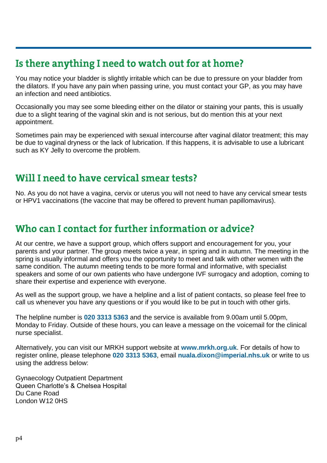# Is there anything I need to watch out for at home?

You may notice your bladder is slightly irritable which can be due to pressure on your bladder from the dilators. If you have any pain when passing urine, you must contact your GP, as you may have an infection and need antibiotics.

Occasionally you may see some bleeding either on the dilator or staining your pants, this is usually due to a slight tearing of the vaginal skin and is not serious, but do mention this at your next appointment.

Sometimes pain may be experienced with sexual intercourse after vaginal dilator treatment; this may be due to vaginal dryness or the lack of lubrication. If this happens, it is advisable to use a lubricant such as KY Jelly to overcome the problem.

### Will I need to have cervical smear tests?

No. As you do not have a vagina, cervix or uterus you will not need to have any cervical smear tests or HPV1 vaccinations (the vaccine that may be offered to prevent human papillomavirus).

## Who can I contact for further information or advice?

At our centre, we have a support group, which offers support and encouragement for you, your parents and your partner. The group meets twice a year, in spring and in autumn. The meeting in the spring is usually informal and offers you the opportunity to meet and talk with other women with the same condition. The autumn meeting tends to be more formal and informative, with specialist speakers and some of our own patients who have undergone IVF surrogacy and adoption, coming to share their expertise and experience with everyone.

As well as the support group, we have a helpline and a list of patient contacts, so please feel free to call us whenever you have any questions or if you would like to be put in touch with other girls.

The helpline number is **020 3313 5363** and the service is available from 9.00am until 5.00pm, Monday to Friday. Outside of these hours, you can leave a message on the voicemail for the clinical nurse specialist.

Alternatively, you can visit our MRKH support website at **www.mrkh.org.uk**. For details of how to register online, please telephone **020 3313 5363**, email **nuala.dixon@imperial.nhs.uk** or write to us using the address below:

Gynaecology Outpatient Department Queen Charlotte's & Chelsea Hospital Du Cane Road London W12 0HS